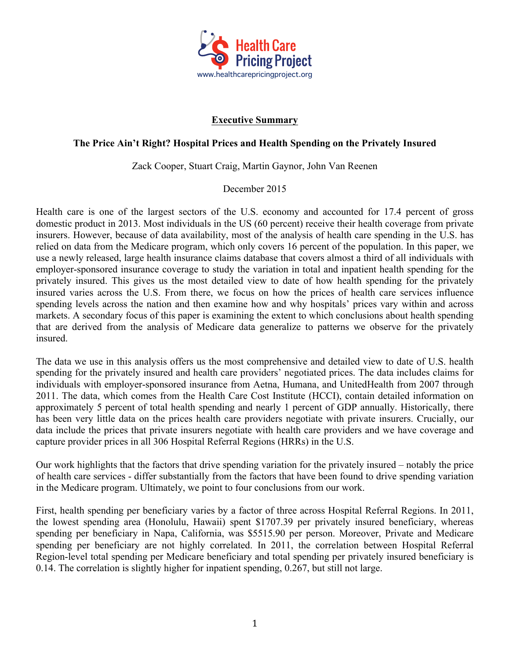

## **Executive Summary**

## **The Price Ain't Right? Hospital Prices and Health Spending on the Privately Insured**

Zack Cooper, Stuart Craig, Martin Gaynor, John Van Reenen

## December 2015

Health care is one of the largest sectors of the U.S. economy and accounted for 17.4 percent of gross domestic product in 2013. Most individuals in the US (60 percent) receive their health coverage from private insurers. However, because of data availability, most of the analysis of health care spending in the U.S. has relied on data from the Medicare program, which only covers 16 percent of the population. In this paper, we use a newly released, large health insurance claims database that covers almost a third of all individuals with employer-sponsored insurance coverage to study the variation in total and inpatient health spending for the privately insured. This gives us the most detailed view to date of how health spending for the privately insured varies across the U.S. From there, we focus on how the prices of health care services influence spending levels across the nation and then examine how and why hospitals' prices vary within and across markets. A secondary focus of this paper is examining the extent to which conclusions about health spending that are derived from the analysis of Medicare data generalize to patterns we observe for the privately insured.

The data we use in this analysis offers us the most comprehensive and detailed view to date of U.S. health spending for the privately insured and health care providers' negotiated prices. The data includes claims for individuals with employer-sponsored insurance from Aetna, Humana, and UnitedHealth from 2007 through 2011. The data, which comes from the Health Care Cost Institute (HCCI), contain detailed information on approximately 5 percent of total health spending and nearly 1 percent of GDP annually. Historically, there has been very little data on the prices health care providers negotiate with private insurers. Crucially, our data include the prices that private insurers negotiate with health care providers and we have coverage and capture provider prices in all 306 Hospital Referral Regions (HRRs) in the U.S.

Our work highlights that the factors that drive spending variation for the privately insured – notably the price of health care services - differ substantially from the factors that have been found to drive spending variation in the Medicare program. Ultimately, we point to four conclusions from our work.

First, health spending per beneficiary varies by a factor of three across Hospital Referral Regions. In 2011, the lowest spending area (Honolulu, Hawaii) spent \$1707.39 per privately insured beneficiary, whereas spending per beneficiary in Napa, California, was \$5515.90 per person. Moreover, Private and Medicare spending per beneficiary are not highly correlated. In 2011, the correlation between Hospital Referral Region-level total spending per Medicare beneficiary and total spending per privately insured beneficiary is 0.14. The correlation is slightly higher for inpatient spending, 0.267, but still not large.